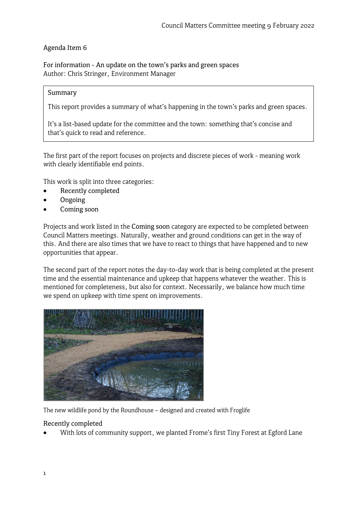# Agenda Item 6

For information - An update on the town's parks and green spaces Author: Chris Stringer, Environment Manager

#### Summary

This report provides a summary of what's happening in the town's parks and green spaces.

It's a list-based update for the committee and the town: something that's concise and that's quick to read and reference.

The first part of the report focuses on projects and discrete pieces of work - meaning work with clearly identifiable end points.

This work is split into three categories:

- Recently completed
- Ongoing
- Coming soon

Projects and work listed in the Coming soon category are expected to be completed between Council Matters meetings. Naturally, weather and ground conditions can get in the way of this. And there are also times that we have to react to things that have happened and to new opportunities that appear.

The second part of the report notes the day-to-day work that is being completed at the present time and the essential maintenance and upkeep that happens whatever the weather. This is mentioned for completeness, but also for context. Necessarily, we balance how much time we spend on upkeep with time spent on improvements.



The new wildlife pond by the Roundhouse – designed and created with Froglife

#### Recently completed

• With lots of community support, we planted Frome's first Tiny Forest at Egford Lane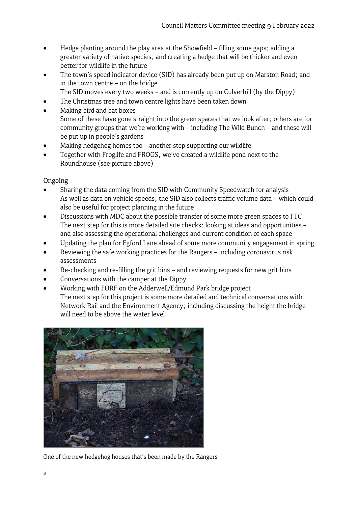- Hedge planting around the play area at the Showfield filling some gaps; adding a greater variety of native species; and creating a hedge that will be thicker and even better for wildlife in the future
- The town's speed indicator device (SID) has already been put up on Marston Road; and in the town centre – on the bridge
	- The SID moves every two weeks and is currently up on Culverhill (by the Dippy)
- The Christmas tree and town centre lights have been taken down
- Making bird and bat boxes Some of these have gone straight into the green spaces that we look after; others are for community groups that we're working with – including The Wild Bunch – and these will be put up in people's gardens
- Making hedgehog homes too another step supporting our wildlife
- Together with Froglife and FROGS, we've created a wildlife pond next to the Roundhouse (see picture above)

Ongoing

- Sharing the data coming from the SID with Community Speedwatch for analysis As well as data on vehicle speeds, the SID also collects traffic volume data – which could also be useful for project planning in the future
- Discussions with MDC about the possible transfer of some more green spaces to FTC The next step for this is more detailed site checks: looking at ideas and opportunities – and also assessing the operational challenges and current condition of each space
- Updating the plan for Egford Lane ahead of some more community engagement in spring
- Reviewing the safe working practices for the Rangers including coronavirus risk assessments
- Re-checking and re-filling the grit bins and reviewing requests for new grit bins
- Conversations with the camper at the Dippy
- Working with FORF on the Adderwell/Edmund Park bridge project The next step for this project is some more detailed and technical conversations with Network Rail and the Environment Agency; including discussing the height the bridge will need to be above the water level



One of the new hedgehog houses that's been made by the Rangers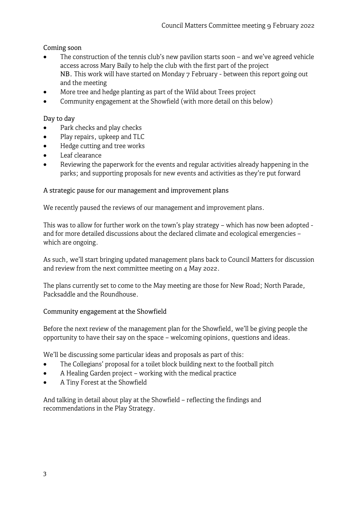## Coming soon

- The construction of the tennis club's new pavilion starts soon and we've agreed vehicle access across Mary Baily to help the club with the first part of the project NB. This work will have started on Monday 7 February - between this report going out and the meeting
- More tree and hedge planting as part of the Wild about Trees project
- Community engagement at the Showfield (with more detail on this below)

## Day to day

- Park checks and play checks
- Play repairs, upkeep and TLC
- Hedge cutting and tree works
- Leaf clearance
- Reviewing the paperwork for the events and regular activities already happening in the parks; and supporting proposals for new events and activities as they're put forward

## A strategic pause for our management and improvement plans

We recently paused the reviews of our management and improvement plans.

This was to allow for further work on the town's play strategy – which has now been adopted and for more detailed discussions about the declared climate and ecological emergencies – which are ongoing.

As such, we'll start bringing updated management plans back to Council Matters for discussion and review from the next committee meeting on 4 May 2022.

The plans currently set to come to the May meeting are those for New Road; North Parade, Packsaddle and the Roundhouse.

## Community engagement at the Showfield

Before the next review of the management plan for the Showfield, we'll be giving people the opportunity to have their say on the space – welcoming opinions, questions and ideas.

We'll be discussing some particular ideas and proposals as part of this:

- The Collegians' proposal for a toilet block building next to the football pitch
- A Healing Garden project working with the medical practice
- A Tiny Forest at the Showfield

And talking in detail about play at the Showfield – reflecting the findings and recommendations in the Play Strategy.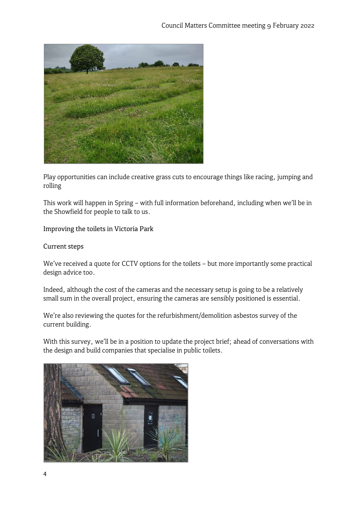

Play opportunities can include creative grass cuts to encourage things like racing, jumping and rolling

This work will happen in Spring – with full information beforehand, including when we'll be in the Showfield for people to talk to us.

Improving the toilets in Victoria Park

## Current steps

We've received a quote for CCTV options for the toilets – but more importantly some practical design advice too.

Indeed, although the cost of the cameras and the necessary setup is going to be a relatively small sum in the overall project, ensuring the cameras are sensibly positioned is essential.

We're also reviewing the quotes for the refurbishment/demolition asbestos survey of the current building.

With this survey, we'll be in a position to update the project brief; ahead of conversations with the design and build companies that specialise in public toilets.